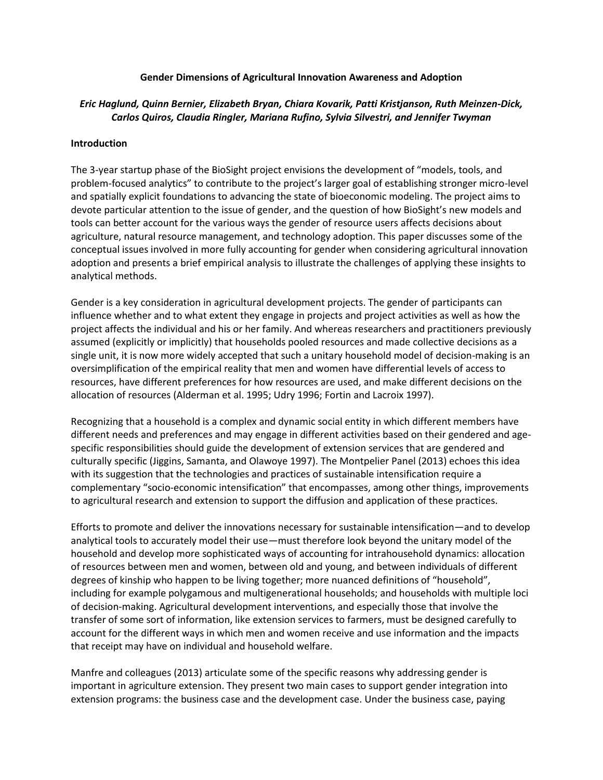### **Gender Dimensions of Agricultural Innovation Awareness and Adoption**

# *Eric Haglund, Quinn Bernier, Elizabeth Bryan, Chiara Kovarik, Patti Kristjanson, Ruth Meinzen-Dick, Carlos Quiros, Claudia Ringler, Mariana Rufino, Sylvia Silvestri, and Jennifer Twyman*

## **Introduction**

The 3-year startup phase of the BioSight project envisions the development of "models, tools, and problem-focused analytics" to contribute to the project's larger goal of establishing stronger micro-level and spatially explicit foundations to advancing the state of bioeconomic modeling. The project aims to devote particular attention to the issue of gender, and the question of how BioSight's new models and tools can better account for the various ways the gender of resource users affects decisions about agriculture, natural resource management, and technology adoption. This paper discusses some of the conceptual issues involved in more fully accounting for gender when considering agricultural innovation adoption and presents a brief empirical analysis to illustrate the challenges of applying these insights to analytical methods.

Gender is a key consideration in agricultural development projects. The gender of participants can influence whether and to what extent they engage in projects and project activities as well as how the project affects the individual and his or her family. And whereas researchers and practitioners previously assumed (explicitly or implicitly) that households pooled resources and made collective decisions as a single unit, it is now more widely accepted that such a unitary household model of decision-making is an oversimplification of the empirical reality that men and women have differential levels of access to resources, have different preferences for how resources are used, and make different decisions on the allocation of resources (Alderman et al. 1995; Udry 1996; Fortin and Lacroix 1997).

Recognizing that a household is a complex and dynamic social entity in which different members have different needs and preferences and may engage in different activities based on their gendered and agespecific responsibilities should guide the development of extension services that are gendered and culturally specific (Jiggins, Samanta, and Olawoye 1997). The Montpelier Panel (2013) echoes this idea with its suggestion that the technologies and practices of sustainable intensification require a complementary "socio-economic intensification" that encompasses, among other things, improvements to agricultural research and extension to support the diffusion and application of these practices.

Efforts to promote and deliver the innovations necessary for sustainable intensification—and to develop analytical tools to accurately model their use—must therefore look beyond the unitary model of the household and develop more sophisticated ways of accounting for intrahousehold dynamics: allocation of resources between men and women, between old and young, and between individuals of different degrees of kinship who happen to be living together; more nuanced definitions of "household", including for example polygamous and multigenerational households; and households with multiple loci of decision-making. Agricultural development interventions, and especially those that involve the transfer of some sort of information, like extension services to farmers, must be designed carefully to account for the different ways in which men and women receive and use information and the impacts that receipt may have on individual and household welfare.

Manfre and colleagues (2013) articulate some of the specific reasons why addressing gender is important in agriculture extension. They present two main cases to support gender integration into extension programs: the business case and the development case. Under the business case, paying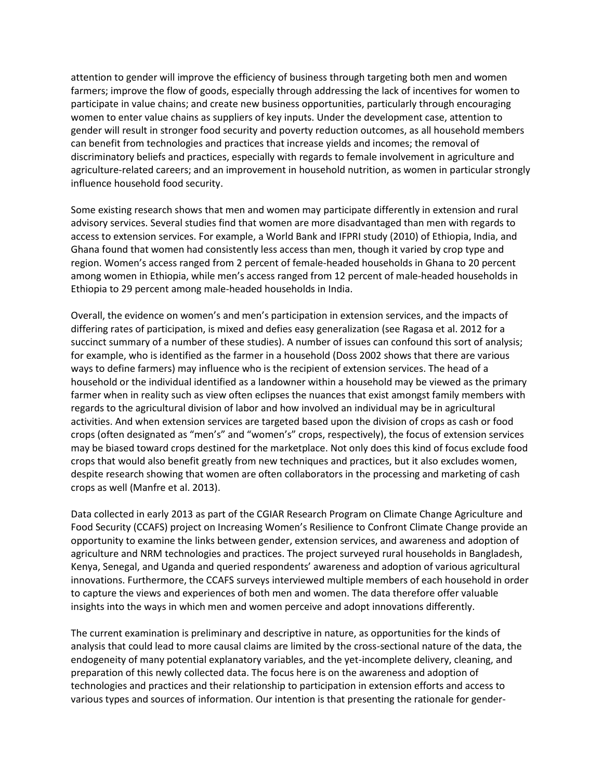attention to gender will improve the efficiency of business through targeting both men and women farmers; improve the flow of goods, especially through addressing the lack of incentives for women to participate in value chains; and create new business opportunities, particularly through encouraging women to enter value chains as suppliers of key inputs. Under the development case, attention to gender will result in stronger food security and poverty reduction outcomes, as all household members can benefit from technologies and practices that increase yields and incomes; the removal of discriminatory beliefs and practices, especially with regards to female involvement in agriculture and agriculture-related careers; and an improvement in household nutrition, as women in particular strongly influence household food security.

Some existing research shows that men and women may participate differently in extension and rural advisory services. Several studies find that women are more disadvantaged than men with regards to access to extension services. For example, a World Bank and IFPRI study (2010) of Ethiopia, India, and Ghana found that women had consistently less access than men, though it varied by crop type and region. Women's access ranged from 2 percent of female-headed households in Ghana to 20 percent among women in Ethiopia, while men's access ranged from 12 percent of male-headed households in Ethiopia to 29 percent among male-headed households in India.

Overall, the evidence on women's and men's participation in extension services, and the impacts of differing rates of participation, is mixed and defies easy generalization (see Ragasa et al. 2012 for a succinct summary of a number of these studies). A number of issues can confound this sort of analysis; for example, who is identified as the farmer in a household (Doss 2002 shows that there are various ways to define farmers) may influence who is the recipient of extension services. The head of a household or the individual identified as a landowner within a household may be viewed as the primary farmer when in reality such as view often eclipses the nuances that exist amongst family members with regards to the agricultural division of labor and how involved an individual may be in agricultural activities. And when extension services are targeted based upon the division of crops as cash or food crops (often designated as "men's" and "women's" crops, respectively), the focus of extension services may be biased toward crops destined for the marketplace. Not only does this kind of focus exclude food crops that would also benefit greatly from new techniques and practices, but it also excludes women, despite research showing that women are often collaborators in the processing and marketing of cash crops as well (Manfre et al. 2013).

Data collected in early 2013 as part of the CGIAR Research Program on Climate Change Agriculture and Food Security (CCAFS) project on Increasing Women's Resilience to Confront Climate Change provide an opportunity to examine the links between gender, extension services, and awareness and adoption of agriculture and NRM technologies and practices. The project surveyed rural households in Bangladesh, Kenya, Senegal, and Uganda and queried respondents' awareness and adoption of various agricultural innovations. Furthermore, the CCAFS surveys interviewed multiple members of each household in order to capture the views and experiences of both men and women. The data therefore offer valuable insights into the ways in which men and women perceive and adopt innovations differently.

The current examination is preliminary and descriptive in nature, as opportunities for the kinds of analysis that could lead to more causal claims are limited by the cross-sectional nature of the data, the endogeneity of many potential explanatory variables, and the yet-incomplete delivery, cleaning, and preparation of this newly collected data. The focus here is on the awareness and adoption of technologies and practices and their relationship to participation in extension efforts and access to various types and sources of information. Our intention is that presenting the rationale for gender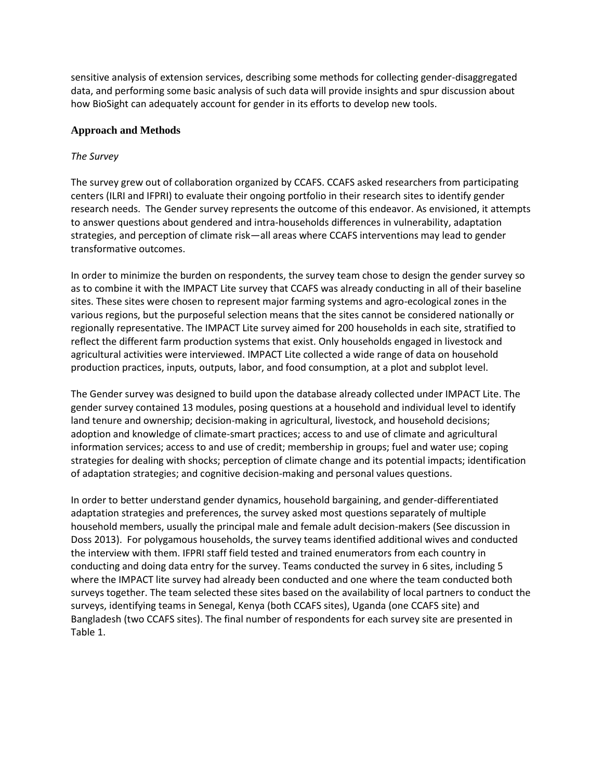sensitive analysis of extension services, describing some methods for collecting gender-disaggregated data, and performing some basic analysis of such data will provide insights and spur discussion about how BioSight can adequately account for gender in its efforts to develop new tools.

## **Approach and Methods**

## *The Survey*

The survey grew out of collaboration organized by CCAFS. CCAFS asked researchers from participating centers (ILRI and IFPRI) to evaluate their ongoing portfolio in their research sites to identify gender research needs. The Gender survey represents the outcome of this endeavor. As envisioned, it attempts to answer questions about gendered and intra-households differences in vulnerability, adaptation strategies, and perception of climate risk—all areas where CCAFS interventions may lead to gender transformative outcomes.

In order to minimize the burden on respondents, the survey team chose to design the gender survey so as to combine it with the IMPACT Lite survey that CCAFS was already conducting in all of their baseline sites. These sites were chosen to represent major farming systems and agro-ecological zones in the various regions, but the purposeful selection means that the sites cannot be considered nationally or regionally representative. The IMPACT Lite survey aimed for 200 households in each site, stratified to reflect the different farm production systems that exist. Only households engaged in livestock and agricultural activities were interviewed. IMPACT Lite collected a wide range of data on household production practices, inputs, outputs, labor, and food consumption, at a plot and subplot level.

The Gender survey was designed to build upon the database already collected under IMPACT Lite. The gender survey contained 13 modules, posing questions at a household and individual level to identify land tenure and ownership; decision-making in agricultural, livestock, and household decisions; adoption and knowledge of climate-smart practices; access to and use of climate and agricultural information services; access to and use of credit; membership in groups; fuel and water use; coping strategies for dealing with shocks; perception of climate change and its potential impacts; identification of adaptation strategies; and cognitive decision-making and personal values questions.

In order to better understand gender dynamics, household bargaining, and gender-differentiated adaptation strategies and preferences, the survey asked most questions separately of multiple household members, usually the principal male and female adult decision-makers (See discussion in Doss 2013). For polygamous households, the survey teams identified additional wives and conducted the interview with them. IFPRI staff field tested and trained enumerators from each country in conducting and doing data entry for the survey. Teams conducted the survey in 6 sites, including 5 where the IMPACT lite survey had already been conducted and one where the team conducted both surveys together. The team selected these sites based on the availability of local partners to conduct the surveys, identifying teams in Senegal, Kenya (both CCAFS sites), Uganda (one CCAFS site) and Bangladesh (two CCAFS sites). The final number of respondents for each survey site are presented in Table 1.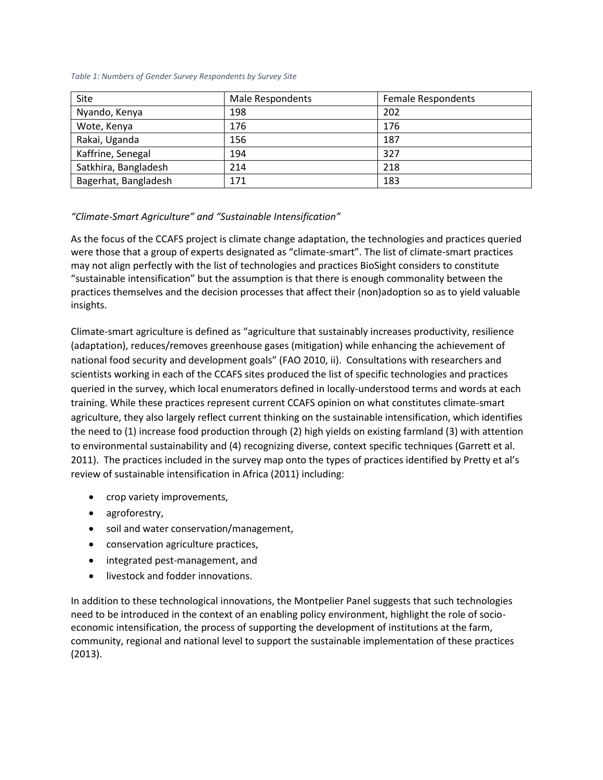#### *Table 1: Numbers of Gender Survey Respondents by Survey Site*

| Site                 | Male Respondents | <b>Female Respondents</b> |
|----------------------|------------------|---------------------------|
| Nyando, Kenya        | 198              | 202                       |
| Wote, Kenya          | 176              | 176                       |
| Rakai, Uganda        | 156              | 187                       |
| Kaffrine, Senegal    | 194              | 327                       |
| Satkhira, Bangladesh | 214              | 218                       |
| Bagerhat, Bangladesh | 171              | 183                       |

## *"Climate-Smart Agriculture" and "Sustainable Intensification"*

As the focus of the CCAFS project is climate change adaptation, the technologies and practices queried were those that a group of experts designated as "climate-smart". The list of climate-smart practices may not align perfectly with the list of technologies and practices BioSight considers to constitute "sustainable intensification" but the assumption is that there is enough commonality between the practices themselves and the decision processes that affect their (non)adoption so as to yield valuable insights.

Climate-smart agriculture is defined as "agriculture that sustainably increases productivity, resilience (adaptation), reduces/removes greenhouse gases (mitigation) while enhancing the achievement of national food security and development goals" (FAO 2010, ii). Consultations with researchers and scientists working in each of the CCAFS sites produced the list of specific technologies and practices queried in the survey, which local enumerators defined in locally-understood terms and words at each training. While these practices represent current CCAFS opinion on what constitutes climate-smart agriculture, they also largely reflect current thinking on the sustainable intensification, which identifies the need to (1) increase food production through (2) high yields on existing farmland (3) with attention to environmental sustainability and (4) recognizing diverse, context specific techniques (Garrett et al. 2011). The practices included in the survey map onto the types of practices identified by Pretty et al's review of sustainable intensification in Africa (2011) including:

- crop variety improvements,
- agroforestry,
- soil and water conservation/management,
- conservation agriculture practices,
- integrated pest-management, and
- **.** livestock and fodder innovations.

In addition to these technological innovations, the Montpelier Panel suggests that such technologies need to be introduced in the context of an enabling policy environment, highlight the role of socioeconomic intensification, the process of supporting the development of institutions at the farm, community, regional and national level to support the sustainable implementation of these practices (2013).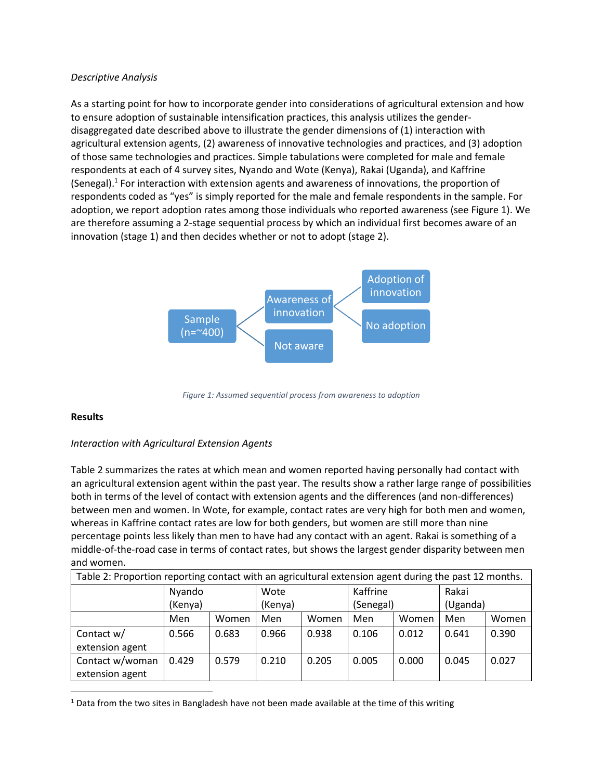## *Descriptive Analysis*

As a starting point for how to incorporate gender into considerations of agricultural extension and how to ensure adoption of sustainable intensification practices, this analysis utilizes the genderdisaggregated date described above to illustrate the gender dimensions of (1) interaction with agricultural extension agents, (2) awareness of innovative technologies and practices, and (3) adoption of those same technologies and practices. Simple tabulations were completed for male and female respondents at each of 4 survey sites, Nyando and Wote (Kenya), Rakai (Uganda), and Kaffrine (Senegal).<sup>1</sup> For interaction with extension agents and awareness of innovations, the proportion of respondents coded as "yes" is simply reported for the male and female respondents in the sample. For adoption, we report adoption rates among those individuals who reported awareness (see Figure 1). We are therefore assuming a 2-stage sequential process by which an individual first becomes aware of an innovation (stage 1) and then decides whether or not to adopt (stage 2).



*Figure 1: Assumed sequential process from awareness to adoption*

## **Results**

 $\overline{\phantom{a}}$ 

## *Interaction with Agricultural Extension Agents*

Table 2 summarizes the rates at which mean and women reported having personally had contact with an agricultural extension agent within the past year. The results show a rather large range of possibilities both in terms of the level of contact with extension agents and the differences (and non-differences) between men and women. In Wote, for example, contact rates are very high for both men and women, whereas in Kaffrine contact rates are low for both genders, but women are still more than nine percentage points less likely than men to have had any contact with an agent. Rakai is something of a middle-of-the-road case in terms of contact rates, but shows the largest gender disparity between men and women.

| Table 2: Proportion reporting contact with an agricultural extension agent during the past 12 months. |         |       |         |       |           |       |          |       |
|-------------------------------------------------------------------------------------------------------|---------|-------|---------|-------|-----------|-------|----------|-------|
|                                                                                                       | Nyando  |       | Wote    |       | Kaffrine  |       | Rakai    |       |
|                                                                                                       | (Kenya) |       | (Kenya) |       | (Senegal) |       | (Uganda) |       |
|                                                                                                       | Men     | Women | Men     | Women | Men       | Women | Men      | Women |
| Contact w/                                                                                            | 0.566   | 0.683 | 0.966   | 0.938 | 0.106     | 0.012 | 0.641    | 0.390 |
| extension agent                                                                                       |         |       |         |       |           |       |          |       |
| Contact w/woman                                                                                       | 0.429   | 0.579 | 0.210   | 0.205 | 0.005     | 0.000 | 0.045    | 0.027 |
| extension agent                                                                                       |         |       |         |       |           |       |          |       |

 $1$  Data from the two sites in Bangladesh have not been made available at the time of this writing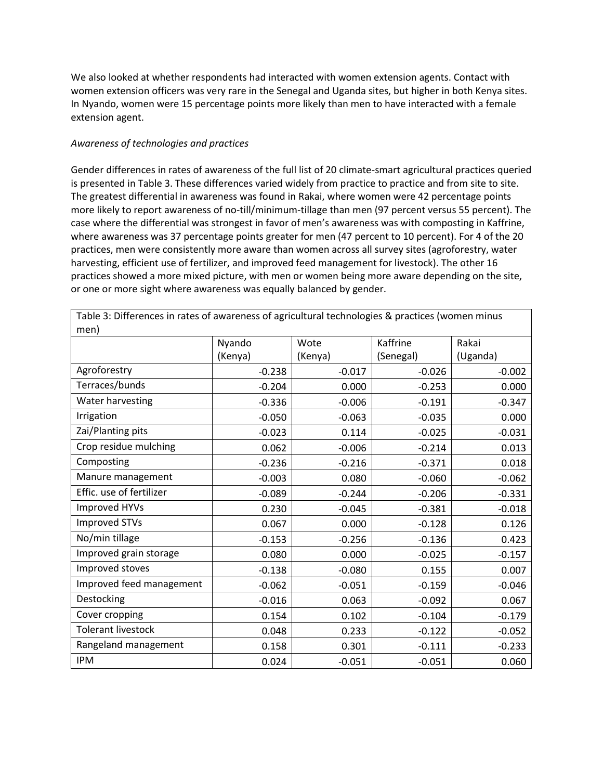We also looked at whether respondents had interacted with women extension agents. Contact with women extension officers was very rare in the Senegal and Uganda sites, but higher in both Kenya sites. In Nyando, women were 15 percentage points more likely than men to have interacted with a female extension agent.

## *Awareness of technologies and practices*

Gender differences in rates of awareness of the full list of 20 climate-smart agricultural practices queried is presented in Table 3. These differences varied widely from practice to practice and from site to site. The greatest differential in awareness was found in Rakai, where women were 42 percentage points more likely to report awareness of no-till/minimum-tillage than men (97 percent versus 55 percent). The case where the differential was strongest in favor of men's awareness was with composting in Kaffrine, where awareness was 37 percentage points greater for men (47 percent to 10 percent). For 4 of the 20 practices, men were consistently more aware than women across all survey sites (agroforestry, water harvesting, efficient use of fertilizer, and improved feed management for livestock). The other 16 practices showed a more mixed picture, with men or women being more aware depending on the site, or one or more sight where awareness was equally balanced by gender.

| men)                      |          |          |           |          |  |  |  |
|---------------------------|----------|----------|-----------|----------|--|--|--|
|                           | Nyando   | Wote     | Kaffrine  | Rakai    |  |  |  |
|                           | (Kenya)  | (Kenya)  | (Senegal) | (Uganda) |  |  |  |
| Agroforestry              | $-0.238$ | $-0.017$ | $-0.026$  | $-0.002$ |  |  |  |
| Terraces/bunds            | $-0.204$ | 0.000    | $-0.253$  | 0.000    |  |  |  |
| Water harvesting          | $-0.336$ | $-0.006$ | $-0.191$  | $-0.347$ |  |  |  |
| Irrigation                | $-0.050$ | $-0.063$ | $-0.035$  | 0.000    |  |  |  |
| Zai/Planting pits         | $-0.023$ | 0.114    | $-0.025$  | $-0.031$ |  |  |  |
| Crop residue mulching     | 0.062    | $-0.006$ | $-0.214$  | 0.013    |  |  |  |
| Composting                | $-0.236$ | $-0.216$ | $-0.371$  | 0.018    |  |  |  |
| Manure management         | $-0.003$ | 0.080    | $-0.060$  | $-0.062$ |  |  |  |
| Effic. use of fertilizer  | $-0.089$ | $-0.244$ | $-0.206$  | $-0.331$ |  |  |  |
| Improved HYVs             | 0.230    | $-0.045$ | $-0.381$  | $-0.018$ |  |  |  |
| <b>Improved STVs</b>      | 0.067    | 0.000    | $-0.128$  | 0.126    |  |  |  |
| No/min tillage            | $-0.153$ | $-0.256$ | $-0.136$  | 0.423    |  |  |  |
| Improved grain storage    | 0.080    | 0.000    | $-0.025$  | $-0.157$ |  |  |  |
| Improved stoves           | $-0.138$ | $-0.080$ | 0.155     | 0.007    |  |  |  |
| Improved feed management  | $-0.062$ | $-0.051$ | $-0.159$  | $-0.046$ |  |  |  |
| Destocking                | $-0.016$ | 0.063    | $-0.092$  | 0.067    |  |  |  |
| Cover cropping            | 0.154    | 0.102    | $-0.104$  | $-0.179$ |  |  |  |
| <b>Tolerant livestock</b> | 0.048    | 0.233    | $-0.122$  | $-0.052$ |  |  |  |
| Rangeland management      | 0.158    | 0.301    | $-0.111$  | $-0.233$ |  |  |  |
| <b>IPM</b>                | 0.024    | $-0.051$ | $-0.051$  | 0.060    |  |  |  |

Table 3: Differences in rates of awareness of agricultural technologies & practices (women minus men)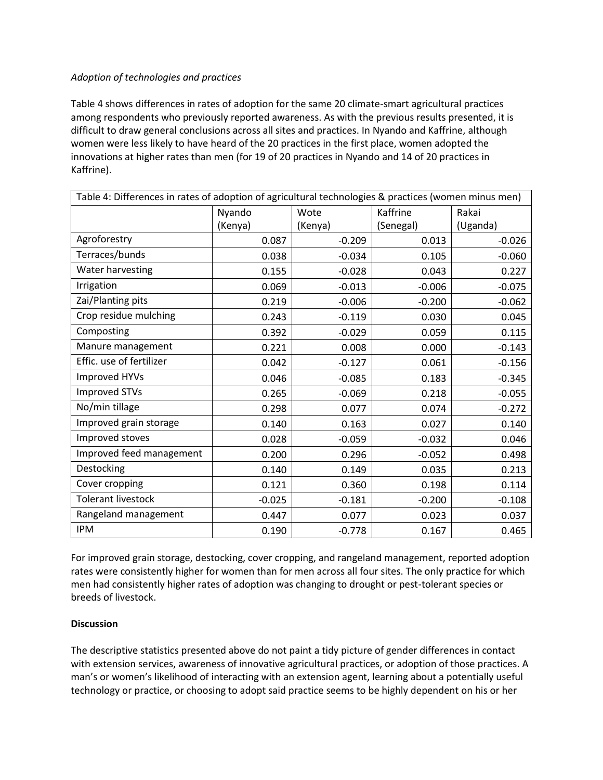## *Adoption of technologies and practices*

Table 4 shows differences in rates of adoption for the same 20 climate-smart agricultural practices among respondents who previously reported awareness. As with the previous results presented, it is difficult to draw general conclusions across all sites and practices. In Nyando and Kaffrine, although women were less likely to have heard of the 20 practices in the first place, women adopted the innovations at higher rates than men (for 19 of 20 practices in Nyando and 14 of 20 practices in Kaffrine).

| Table 4: Differences in rates of adoption of agricultural technologies & practices (women minus men) |          |          |           |          |  |
|------------------------------------------------------------------------------------------------------|----------|----------|-----------|----------|--|
|                                                                                                      | Nyando   | Wote     | Kaffrine  | Rakai    |  |
|                                                                                                      | (Kenya)  | (Kenya)  | (Senegal) | (Uganda) |  |
| Agroforestry                                                                                         | 0.087    | $-0.209$ | 0.013     | $-0.026$ |  |
| Terraces/bunds                                                                                       | 0.038    | $-0.034$ | 0.105     | $-0.060$ |  |
| Water harvesting                                                                                     | 0.155    | $-0.028$ | 0.043     | 0.227    |  |
| Irrigation                                                                                           | 0.069    | $-0.013$ | $-0.006$  | $-0.075$ |  |
| Zai/Planting pits                                                                                    | 0.219    | $-0.006$ | $-0.200$  | $-0.062$ |  |
| Crop residue mulching                                                                                | 0.243    | $-0.119$ | 0.030     | 0.045    |  |
| Composting                                                                                           | 0.392    | $-0.029$ | 0.059     | 0.115    |  |
| Manure management                                                                                    | 0.221    | 0.008    | 0.000     | $-0.143$ |  |
| Effic. use of fertilizer                                                                             | 0.042    | $-0.127$ | 0.061     | $-0.156$ |  |
| Improved HYVs                                                                                        | 0.046    | $-0.085$ | 0.183     | $-0.345$ |  |
| <b>Improved STVs</b>                                                                                 | 0.265    | $-0.069$ | 0.218     | $-0.055$ |  |
| No/min tillage                                                                                       | 0.298    | 0.077    | 0.074     | $-0.272$ |  |
| Improved grain storage                                                                               | 0.140    | 0.163    | 0.027     | 0.140    |  |
| Improved stoves                                                                                      | 0.028    | $-0.059$ | $-0.032$  | 0.046    |  |
| Improved feed management                                                                             | 0.200    | 0.296    | $-0.052$  | 0.498    |  |
| Destocking                                                                                           | 0.140    | 0.149    | 0.035     | 0.213    |  |
| Cover cropping                                                                                       | 0.121    | 0.360    | 0.198     | 0.114    |  |
| <b>Tolerant livestock</b>                                                                            | $-0.025$ | $-0.181$ | $-0.200$  | $-0.108$ |  |
| Rangeland management                                                                                 | 0.447    | 0.077    | 0.023     | 0.037    |  |
| <b>IPM</b>                                                                                           | 0.190    | $-0.778$ | 0.167     | 0.465    |  |

For improved grain storage, destocking, cover cropping, and rangeland management, reported adoption rates were consistently higher for women than for men across all four sites. The only practice for which men had consistently higher rates of adoption was changing to drought or pest-tolerant species or breeds of livestock.

## **Discussion**

The descriptive statistics presented above do not paint a tidy picture of gender differences in contact with extension services, awareness of innovative agricultural practices, or adoption of those practices. A man's or women's likelihood of interacting with an extension agent, learning about a potentially useful technology or practice, or choosing to adopt said practice seems to be highly dependent on his or her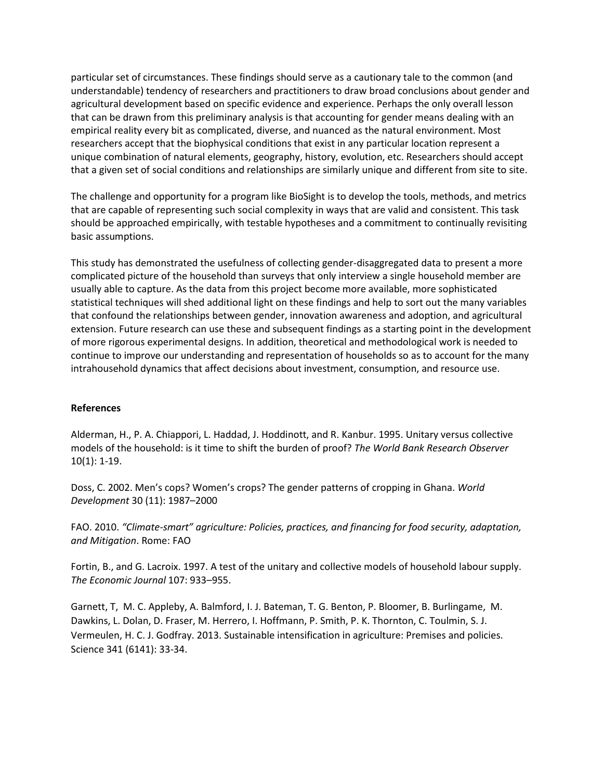particular set of circumstances. These findings should serve as a cautionary tale to the common (and understandable) tendency of researchers and practitioners to draw broad conclusions about gender and agricultural development based on specific evidence and experience. Perhaps the only overall lesson that can be drawn from this preliminary analysis is that accounting for gender means dealing with an empirical reality every bit as complicated, diverse, and nuanced as the natural environment. Most researchers accept that the biophysical conditions that exist in any particular location represent a unique combination of natural elements, geography, history, evolution, etc. Researchers should accept that a given set of social conditions and relationships are similarly unique and different from site to site.

The challenge and opportunity for a program like BioSight is to develop the tools, methods, and metrics that are capable of representing such social complexity in ways that are valid and consistent. This task should be approached empirically, with testable hypotheses and a commitment to continually revisiting basic assumptions.

This study has demonstrated the usefulness of collecting gender-disaggregated data to present a more complicated picture of the household than surveys that only interview a single household member are usually able to capture. As the data from this project become more available, more sophisticated statistical techniques will shed additional light on these findings and help to sort out the many variables that confound the relationships between gender, innovation awareness and adoption, and agricultural extension. Future research can use these and subsequent findings as a starting point in the development of more rigorous experimental designs. In addition, theoretical and methodological work is needed to continue to improve our understanding and representation of households so as to account for the many intrahousehold dynamics that affect decisions about investment, consumption, and resource use.

#### **References**

Alderman, H., P. A. Chiappori, L. Haddad, J. Hoddinott, and R. Kanbur. 1995. Unitary versus collective models of the household: is it time to shift the burden of proof? *The World Bank Research Observer* 10(1): 1-19.

Doss, C. 2002. Men's cops? Women's crops? The gender patterns of cropping in Ghana. *World Development* 30 (11): 1987–2000

FAO. 2010. *"Climate-smart" agriculture: Policies, practices, and financing for food security, adaptation, and Mitigation*. Rome: FAO

Fortin, B., and G. Lacroix. 1997. A test of the unitary and collective models of household labour supply. *The Economic Journal* 107: 933–955.

Garnett, T, M. C. Appleby, A. Balmford, I. J. Bateman, T. G. Benton, P. Bloomer, B. Burlingame, M. Dawkins, L. Dolan, D. Fraser, M. Herrero, I. Hoffmann, P. Smith, P. K. Thornton, C. Toulmin, S. J. Vermeulen, H. C. J. Godfray. 2013. Sustainable intensification in agriculture: Premises and policies. Science 341 (6141): 33-34.